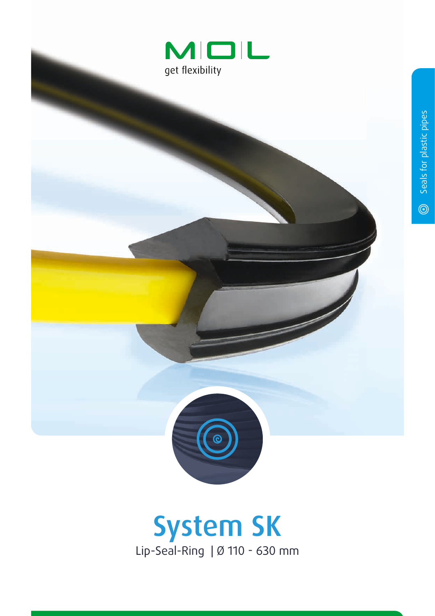



## System SK Lip-Seal-Ring | Ø 110 - 630 mm